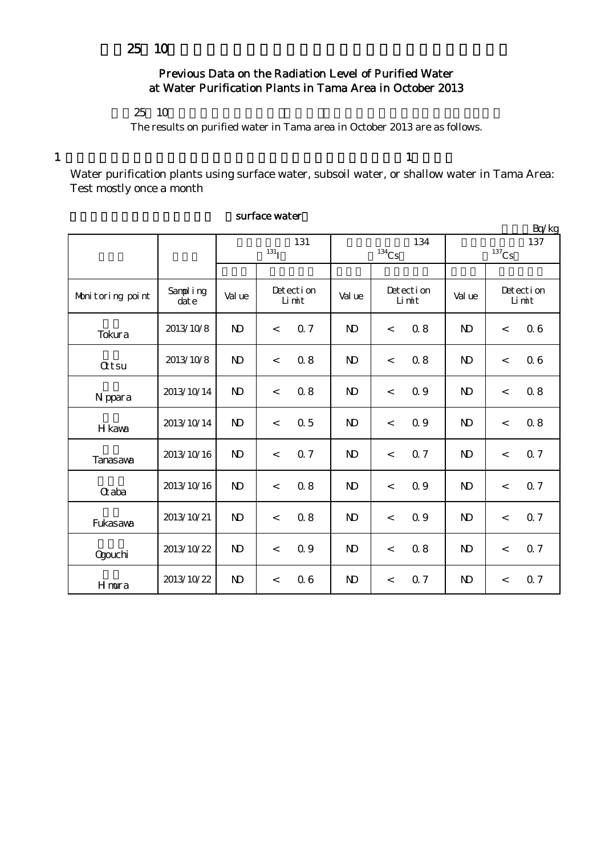## Previous Data on the Radiation Level of Purified Water at Water Purification Plants in Tama Area in October 2013

## 25 10

The results on purified water in Tama area in October 2013 are as follows.

 $1$  and  $1$ 

Water purification plants using surface water, subsoil water, or shallow water in Tama Area: Test mostly once a month

|                  |                      |              |                     |     |              |                     |     |                |                    | Bq/kg      |  |
|------------------|----------------------|--------------|---------------------|-----|--------------|---------------------|-----|----------------|--------------------|------------|--|
|                  |                      |              | 131                 |     | 134          |                     |     | 137            |                    |            |  |
|                  |                      |              | $131$ <sub>I</sub>  |     |              | $^{134}\mathrm{Cs}$ |     |                | $137$ Cs           |            |  |
|                  |                      |              |                     |     |              |                     |     |                |                    |            |  |
| Monitoring point | Sampling<br>$\det e$ | Val ue       | Detection<br>Limit  |     | Val ue       | Detection<br>Limit  |     | Val ue         | Detection<br>Limit |            |  |
| Tokura           | 2013/10/8            | $\mathbf{D}$ | <b>Q</b> 7<br>$\lt$ |     | $\mathbf{D}$ | $\prec$             | 0.8 | $\mathbf{D}$   | $\lt$              | 06         |  |
| <b>Qtsu</b>      | 2013/10/8            | $\mathbf{D}$ | $\,<$               | 08  | $\mathbf{D}$ | $\prec$             | 0.8 | $\mathbf{D}$   | $\,<$              | 06         |  |
| N ppara          | 2013/10/14           | $\mathbf{D}$ | $\,<$               | 0.8 | $\mathbf{D}$ | $\,<$               | 0.9 | $\mathbf{D}$   | $\,<$              | 0.8        |  |
| H kawa           | 2013/10/14           | $\mathbf{N}$ | $\prec$             | 0.5 | $\mathbf{D}$ | $\prec$             | 0.9 | N <sub>D</sub> | $\prec$            | 0.8        |  |
| Tanasawa         | 2013/10/16           | $\mathbf{D}$ | $\,<$               | 0.7 | $\mathbf{D}$ | $\prec$             | 0.7 | $\mathbf{D}$   | $\lt$              | Q 7        |  |
| $\alpha$ aba     | 2013/10/16           | $\mathbf{N}$ | $\prec$             | 0.8 | $\mathbf{D}$ | $\lt$               | 0.9 | $\mathbf{D}$   | $\lt$              | Q 7        |  |
| Fukasawa         | 2013/10/21           | $\mathbf{D}$ | $\lt$               | 0.8 | $\mathbf{D}$ | $\prec$             | 0.9 | $\mathbf{D}$   | $\lt$              | <b>Q</b> 7 |  |
| <b>Ogouchi</b>   | 2013/10/22           | $\mathbf{D}$ | $\,<$               | Q 9 | $\mathbf{D}$ | $\,<$               | 0.8 | $\mathbf{D}$   | $\,<$              | 0.7        |  |
| Hmura            | 2013/10/22           | $\mathbf{D}$ | $\,<$               | 06  | $\mathbf{D}$ | $\,<\,$             | 0.7 | $\mathbf{D}$   | $\lt$              | 0.7        |  |

### surface water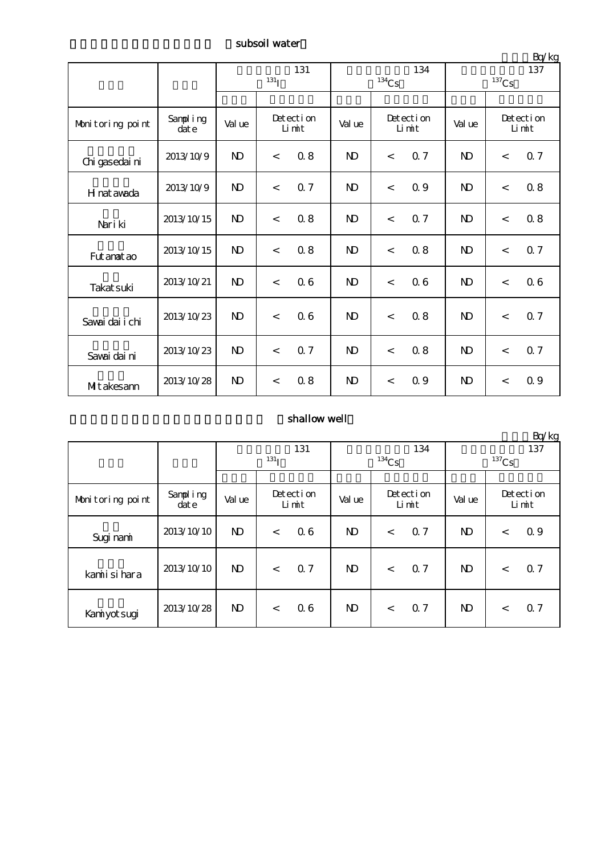subsoil water

|                  |                  | 131<br>131 <sub>I</sub> |                    |     |                | $^{134}\mathrm{Cs}$ | 134 | $\frac{1}{2}$<br>137<br>$^{137}\mathrm{Cs}$ |                    |     |
|------------------|------------------|-------------------------|--------------------|-----|----------------|---------------------|-----|---------------------------------------------|--------------------|-----|
|                  |                  |                         |                    |     |                |                     |     |                                             |                    |     |
| Monitoring point | Sampling<br>date | Val ue                  | Detection<br>Limit |     | Val ue         | Detection<br>Limit  |     | Val ue                                      | Detection<br>Limit |     |
| Chi gasedai ni   | 2013/10/9        | $\mathbf{D}$            | 0.8<br>$\,<$       |     | N <sub>D</sub> | $\,<$               | 0.7 | $\mathbf{D}$                                | $\lt$              | 0.7 |
| H nat awada      | 2013/10/9        | $\mathbf{N}$            | $\,<$              | 0.7 | N <sub>D</sub> | $\lt$               | 0.9 | $\mathbf{D}$                                | $\lt$              | 0.8 |
| Nari ki          | 2013/10/15       | $\mathbf{D}$            | $\,<\,$            | 0.8 | N <sub>D</sub> | $\,<$               | 0.7 | $\mathbf{D}$                                | $\lt$              | 0.8 |
| Fut anat ao      | 2013/10/15       | $\mathbf{D}$            | $\,<$              | 0.8 | N <sub>D</sub> | $\,<$               | 0.8 | N <sub>D</sub>                              | $\lt$              | Q 7 |
| Takat suki       | 2013/10/21       | $\mathbf{N}$            | $\,<$              | 06  | N <sub>D</sub> | $\prec$             | 06  | $\mathbf{D}$                                | $\lt$              | 06  |
| Savai dai i chi  | 2013/10/23       | $\mathbf{N}$            | $\,<\,$            | 06  | N <sub>D</sub> | $\,<$               | 0.8 | $\mathbf{D}$                                | $\lt$              | 0.7 |
| Savai dai ni     | 2013/10/23       | $\mathbf{N}$            | $\,<$              | 0.7 | <b>N</b>       | $\,<$               | 0.8 | $\mathbf{D}$                                | $\lt$              | 0.7 |
| Mitakesann       | 2013/10/28       | $\mathbf{D}$            | $\,<\,$            | 08  | <b>N</b>       | $\,<\,$             | 0.9 | N <sub>D</sub>                              | $\lt$              | 0.9 |

## shallow well

|                  |                           |              |                    | Bq/kg          |                    |                     |                           |  |
|------------------|---------------------------|--------------|--------------------|----------------|--------------------|---------------------|---------------------------|--|
|                  |                           |              | 131                |                | 134                | 137                 |                           |  |
|                  |                           |              | 131 <sub>T</sub>   |                | $134$ Cs           | $^{137}\mathrm{Cs}$ |                           |  |
|                  |                           |              |                    |                |                    |                     |                           |  |
| Monitoring point | Sampling<br>$\dot{d}$ ate | Val ue       | Detection<br>Limit | Val ue         | Detection<br>Limit | Val ue              | Detection<br>Limit        |  |
| Sugi nami        | 2013/10/10                | $\mathbf{N}$ | 06<br>$\,<\,$      | N)             | 0.7<br>$\lt$       | ND                  | 0.9<br>$\lt$              |  |
| kamiisi hara     | 2013/10/10                | $\mathbf{N}$ | 0.7<br>$\lt$       | N <sub>D</sub> | Q 7<br>$\,<$       | N <sub>D</sub>      | Q <sub>7</sub><br>$\,<\,$ |  |
| Kaniyot sugi     | 2013/10/28                | $\mathbf{N}$ | 06<br>$\,<\,$      | N)             | 0.7<br>$\,<\,$     | N)                  | Q <sub>7</sub><br>$\,<\,$ |  |

単位:Bq/kg